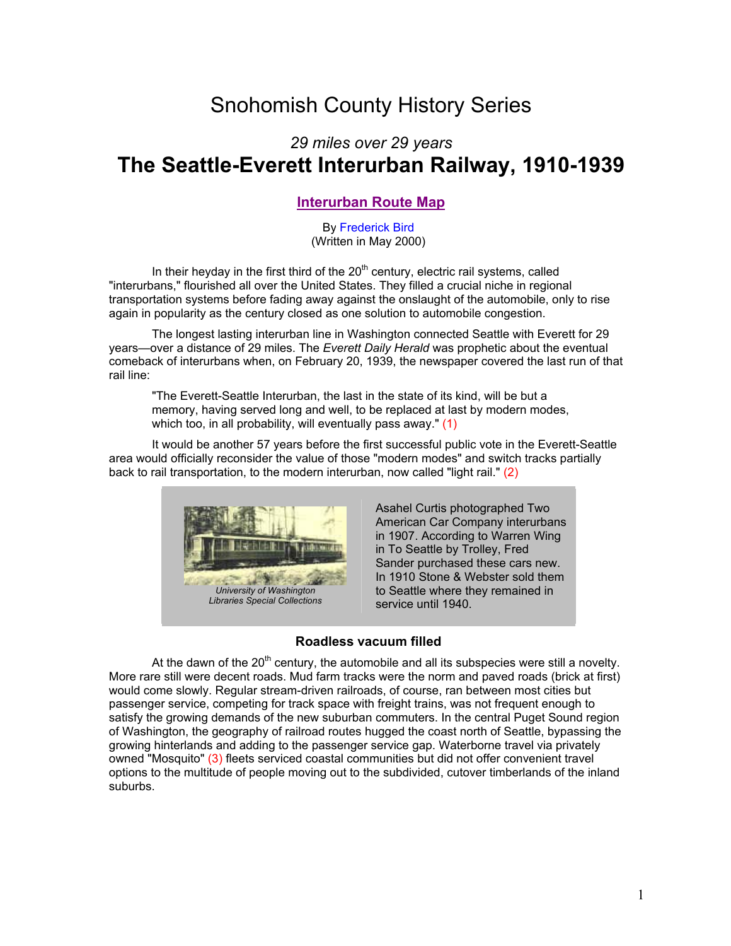# Snohomish County History Series

# *29 miles over 29 years* **The Seattle-Everett Interurban Railway, 1910-1939**

## **[Interurban Route Map](http://www.co.snohomish.wa.us/documents/County_Information/interurbmap.pdf)**

By [Frederick Bird](mailto:Fred.bird@co.snohomish.wa.us) (Written in May 2000)

In their heyday in the first third of the  $20<sup>th</sup>$  century, electric rail systems, called "interurbans," flourished all over the United States. They filled a crucial niche in regional transportation systems before fading away against the onslaught of the automobile, only to rise again in popularity as the century closed as one solution to automobile congestion.

 The longest lasting interurban line in Washington connected Seattle with Everett for 29 years—over a distance of 29 miles. The *Everett Daily Herald* was prophetic about the eventual comeback of interurbans when, on February 20, 1939, the newspaper covered the last run of that rail line:

"The Everett-Seattle Interurban, the last in the state of its kind, will be but a memory, having served long and well, to be replaced at last by modern modes, which too, in all probability, will eventually pass away." (1)

 It would be another 57 years before the first successful public vote in the Everett-Seattle area would officially reconsider the value of those "modern modes" and switch tracks partially back to rail transportation, to the modern interurban, now called "light rail." (2)



Asahel Curtis photographed Two American Car Company interurbans in 1907. According to Warren Wing in To Seattle by Trolley, Fred Sander purchased these cars new. In 1910 Stone & Webster sold them to Seattle where they remained in service until 1940.

#### **Roadless vacuum filled**

At the dawn of the  $20<sup>th</sup>$  century, the automobile and all its subspecies were still a novelty. More rare still were decent roads. Mud farm tracks were the norm and paved roads (brick at first) would come slowly. Regular stream-driven railroads, of course, ran between most cities but passenger service, competing for track space with freight trains, was not frequent enough to satisfy the growing demands of the new suburban commuters. In the central Puget Sound region of Washington, the geography of railroad routes hugged the coast north of Seattle, bypassing the growing hinterlands and adding to the passenger service gap. Waterborne travel via privately owned "Mosquito" (3) fleets serviced coastal communities but did not offer convenient travel options to the multitude of people moving out to the subdivided, cutover timberlands of the inland suburbs.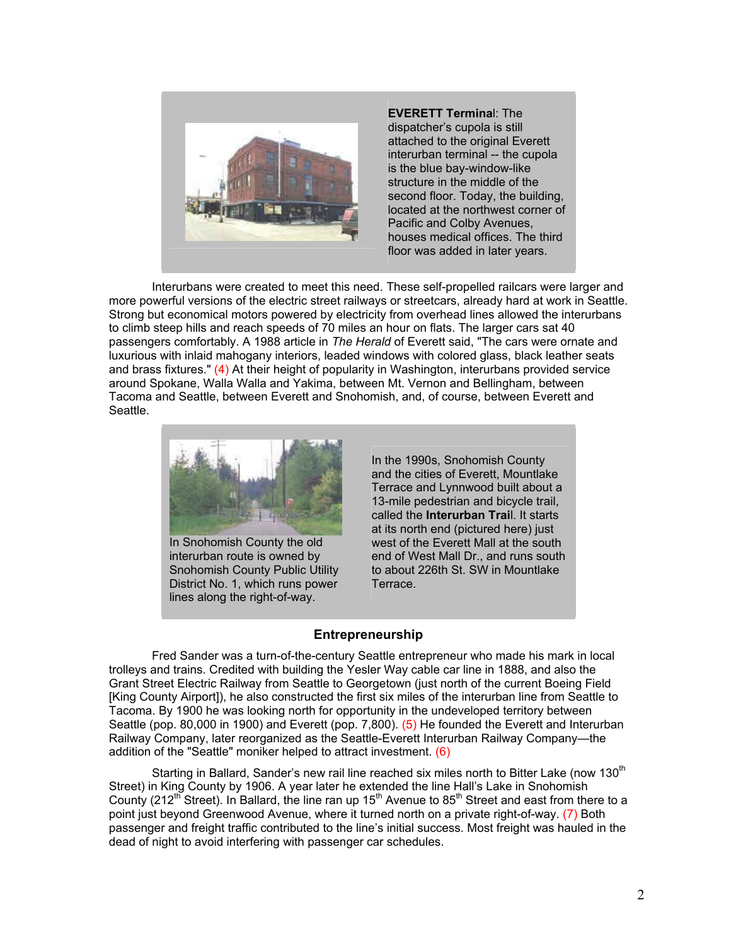

**EVERETT Termina**l: The dispatcher's cupola is still attached to the original Everett interurban terminal -- the cupola is the blue bay-window-like structure in the middle of the second floor. Today, the building. located at the northwest corner of Pacific and Colby Avenues, houses medical offices. The third floor was added in later years.

 Interurbans were created to meet this need. These self-propelled railcars were larger and more powerful versions of the electric street railways or streetcars, already hard at work in Seattle. Strong but economical motors powered by electricity from overhead lines allowed the interurbans to climb steep hills and reach speeds of 70 miles an hour on flats. The larger cars sat 40 passengers comfortably. A 1988 article in *The Herald* of Everett said, "The cars were ornate and luxurious with inlaid mahogany interiors, leaded windows with colored glass, black leather seats and brass fixtures." (4) At their height of popularity in Washington, interurbans provided service around Spokane, Walla Walla and Yakima, between Mt. Vernon and Bellingham, between Tacoma and Seattle, between Everett and Snohomish, and, of course, between Everett and Seattle.



In Snohomish County the old interurban route is owned by Snohomish County Public Utility District No. 1, which runs power lines along the right-of-way.

In the 1990s, Snohomish County and the cities of Everett, Mountlake Terrace and Lynnwood built about a 13-mile pedestrian and bicycle trail, called the **Interurban Trai**l. It starts at its north end (pictured here) just west of the Everett Mall at the south end of West Mall Dr., and runs south to about 226th St. SW in Mountlake **Terrace** 

#### **Entrepreneurship**

 Fred Sander was a turn-of-the-century Seattle entrepreneur who made his mark in local trolleys and trains. Credited with building the Yesler Way cable car line in 1888, and also the Grant Street Electric Railway from Seattle to Georgetown (just north of the current Boeing Field [King County Airport]), he also constructed the first six miles of the interurban line from Seattle to Tacoma. By 1900 he was looking north for opportunity in the undeveloped territory between Seattle (pop. 80,000 in 1900) and Everett (pop. 7,800). (5) He founded the Everett and Interurban Railway Company, later reorganized as the Seattle-Everett Interurban Railway Company—the addition of the "Seattle" moniker helped to attract investment. (6)

Starting in Ballard, Sander's new rail line reached six miles north to Bitter Lake (now 130<sup>th</sup>) Street) in King County by 1906. A year later he extended the line Hall's Lake in Snohomish County (212<sup>th</sup> Street). In Ballard, the line ran up 15<sup>th</sup> Avenue to 85<sup>th</sup> Street and east from there to a point just beyond Greenwood Avenue, where it turned north on a private right-of-way. (7) Both passenger and freight traffic contributed to the line's initial success. Most freight was hauled in the dead of night to avoid interfering with passenger car schedules.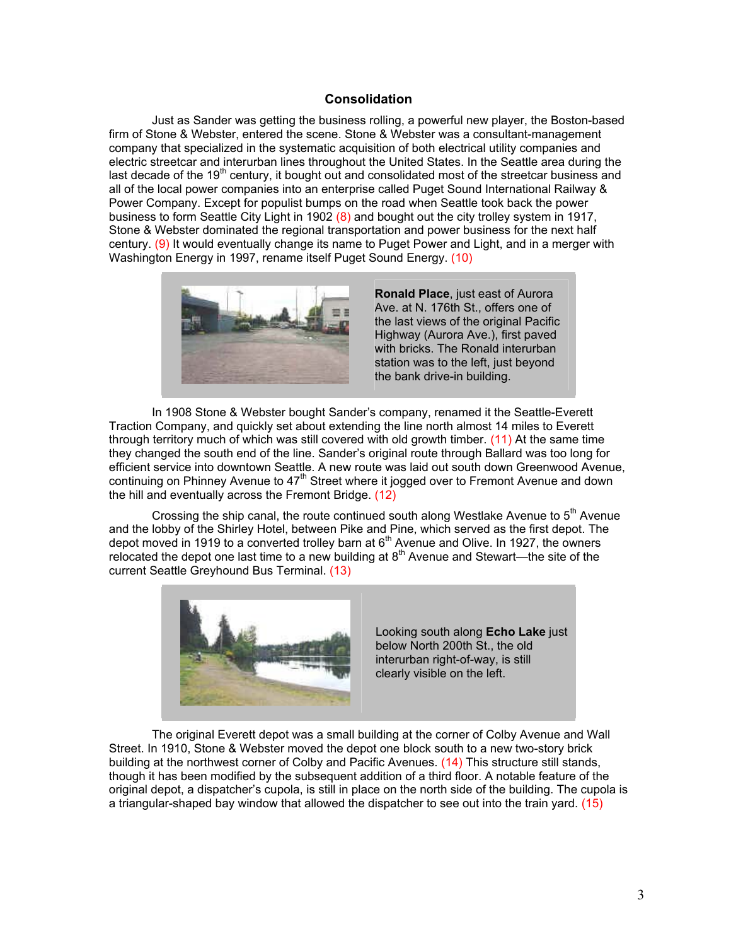#### **Consolidation**

 Just as Sander was getting the business rolling, a powerful new player, the Boston-based firm of Stone & Webster, entered the scene. Stone & Webster was a consultant-management company that specialized in the systematic acquisition of both electrical utility companies and electric streetcar and interurban lines throughout the United States. In the Seattle area during the last decade of the 19<sup>th</sup> century, it bought out and consolidated most of the streetcar business and all of the local power companies into an enterprise called Puget Sound International Railway & Power Company. Except for populist bumps on the road when Seattle took back the power business to form Seattle City Light in 1902 (8) and bought out the city trolley system in 1917, Stone & Webster dominated the regional transportation and power business for the next half century. (9) It would eventually change its name to Puget Power and Light, and in a merger with Washington Energy in 1997, rename itself Puget Sound Energy. (10)



**Ronald Place**, just east of Aurora Ave. at N. 176th St., offers one of the last views of the original Pacific Highway (Aurora Ave.), first paved with bricks. The Ronald interurban station was to the left, just beyond the bank drive-in building.

 In 1908 Stone & Webster bought Sander's company, renamed it the Seattle-Everett Traction Company, and quickly set about extending the line north almost 14 miles to Everett through territory much of which was still covered with old growth timber. (11) At the same time they changed the south end of the line. Sander's original route through Ballard was too long for efficient service into downtown Seattle. A new route was laid out south down Greenwood Avenue, continuing on Phinney Avenue to  $47<sup>th</sup>$  Street where it jogged over to Fremont Avenue and down the hill and eventually across the Fremont Bridge. (12)

Crossing the ship canal, the route continued south along Westlake Avenue to  $5<sup>th</sup>$  Avenue and the lobby of the Shirley Hotel, between Pike and Pine, which served as the first depot. The depot moved in 1919 to a converted trolley barn at 6<sup>th</sup> Avenue and Olive. In 1927, the owners relocated the depot one last time to a new building at  $8<sup>th</sup>$  Avenue and Stewart—the site of the current Seattle Greyhound Bus Terminal. (13)



 The original Everett depot was a small building at the corner of Colby Avenue and Wall Street. In 1910, Stone & Webster moved the depot one block south to a new two-story brick building at the northwest corner of Colby and Pacific Avenues. (14) This structure still stands, though it has been modified by the subsequent addition of a third floor. A notable feature of the original depot, a dispatcher's cupola, is still in place on the north side of the building. The cupola is a triangular-shaped bay window that allowed the dispatcher to see out into the train yard. (15)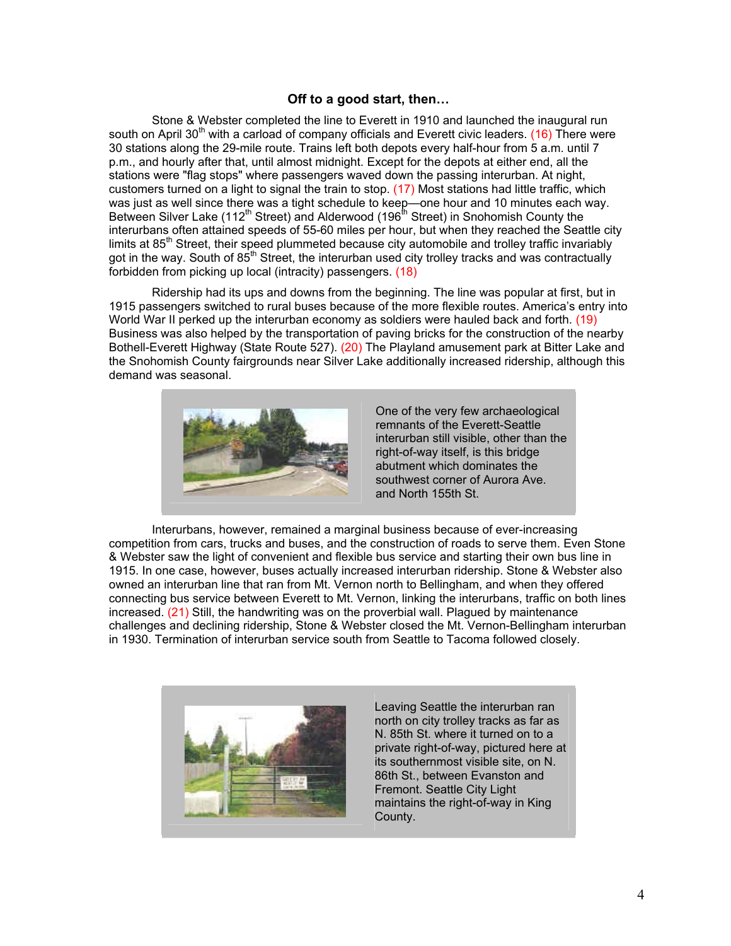#### **Off to a good start, then…**

 Stone & Webster completed the line to Everett in 1910 and launched the inaugural run south on April 30<sup>th</sup> with a carload of company officials and Everett civic leaders. (16) There were 30 stations along the 29-mile route. Trains left both depots every half-hour from 5 a.m. until 7 p.m., and hourly after that, until almost midnight. Except for the depots at either end, all the stations were "flag stops" where passengers waved down the passing interurban. At night, customers turned on a light to signal the train to stop. (17) Most stations had little traffic, which was just as well since there was a tight schedule to keep—one hour and 10 minutes each way. Between Silver Lake (112<sup>th</sup> Street) and Alderwood (196<sup>th</sup> Street) in Snohomish County the interurbans often attained speeds of 55-60 miles per hour, but when they reached the Seattle city limits at  $85<sup>th</sup>$  Street, their speed plummeted because city automobile and trolley traffic invariably got in the way. South of 85<sup>th</sup> Street, the interurban used city trolley tracks and was contractually forbidden from picking up local (intracity) passengers. (18)

 Ridership had its ups and downs from the beginning. The line was popular at first, but in 1915 passengers switched to rural buses because of the more flexible routes. America's entry into World War II perked up the interurban economy as soldiers were hauled back and forth. (19) Business was also helped by the transportation of paving bricks for the construction of the nearby Bothell-Everett Highway (State Route 527). (20) The Playland amusement park at Bitter Lake and the Snohomish County fairgrounds near Silver Lake additionally increased ridership, although this demand was seasonal.



One of the very few archaeological remnants of the Everett-Seattle interurban still visible, other than the right-of-way itself, is this bridge abutment which dominates the southwest corner of Aurora Ave. and North 155th St.

 Interurbans, however, remained a marginal business because of ever-increasing competition from cars, trucks and buses, and the construction of roads to serve them. Even Stone & Webster saw the light of convenient and flexible bus service and starting their own bus line in 1915. In one case, however, buses actually increased interurban ridership. Stone & Webster also owned an interurban line that ran from Mt. Vernon north to Bellingham, and when they offered connecting bus service between Everett to Mt. Vernon, linking the interurbans, traffic on both lines increased. (21) Still, the handwriting was on the proverbial wall. Plagued by maintenance challenges and declining ridership, Stone & Webster closed the Mt. Vernon-Bellingham interurban in 1930. Termination of interurban service south from Seattle to Tacoma followed closely.



Leaving Seattle the interurban ran north on city trolley tracks as far as N. 85th St. where it turned on to a private right-of-way, pictured here at its southernmost visible site, on N. 86th St., between Evanston and Fremont. Seattle City Light maintains the right-of-way in King County.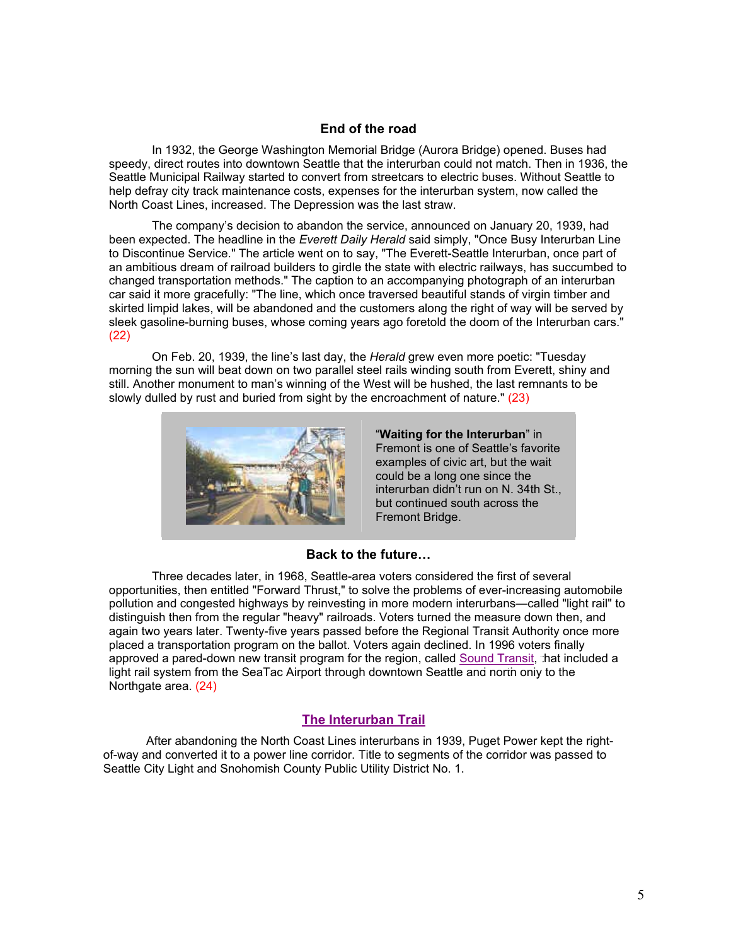#### **End of the road**

 In 1932, the George Washington Memorial Bridge (Aurora Bridge) opened. Buses had speedy, direct routes into downtown Seattle that the interurban could not match. Then in 1936, the Seattle Municipal Railway started to convert from streetcars to electric buses. Without Seattle to help defray city track maintenance costs, expenses for the interurban system, now called the North Coast Lines, increased. The Depression was the last straw.

 The company's decision to abandon the service, announced on January 20, 1939, had been expected. The headline in the *Everett Daily Herald* said simply, "Once Busy Interurban Line to Discontinue Service." The article went on to say, "The Everett-Seattle Interurban, once part of an ambitious dream of railroad builders to girdle the state with electric railways, has succumbed to changed transportation methods." The caption to an accompanying photograph of an interurban car said it more gracefully: "The line, which once traversed beautiful stands of virgin timber and skirted limpid lakes, will be abandoned and the customers along the right of way will be served by sleek gasoline-burning buses, whose coming years ago foretold the doom of the Interurban cars." (22)

 On Feb. 20, 1939, the line's last day, the *Herald* grew even more poetic: "Tuesday morning the sun will beat down on two parallel steel rails winding south from Everett, shiny and still. Another monument to man's winning of the West will be hushed, the last remnants to be slowly dulled by rust and buried from sight by the encroachment of nature." (23)



"**Waiting for the Interurban**" in Fremont is one of Seattle's favorite examples of civic art, but the wait could be a long one since the interurban didn't run on N. 34th St., but continued south across the Fremont Bridge.

#### **Back to the future…**

 Three decades later, in 1968, Seattle-area voters considered the first of several opportunities, then entitled "Forward Thrust," to solve the problems of ever-increasing automobile pollution and congested highways by reinvesting in more modern interurbans—called "light rail" to distinguish then from the regular "heavy" railroads. Voters turned the measure down then, and again two years later. Twenty-five years passed before the Regional Transit Authority once more placed a transportation program on the ballot. Voters again declined. In 1996 voters finally approved a pared-down new transit program for the region, called [Sound Transit, t](http://www.soundtransit.org/)hat included a light rail system from the SeaTac Airport through downtown Seattle and north only to the Northgate area. (24)

#### **[The Interurban Trail](http://www1.co.snohomish.wa.us/Departments/Parks/Information/Park_Directory/Regional_Parks/Interurban_Trail.htm)**

 After abandoning the North Coast Lines interurbans in 1939, Puget Power kept the rightof-way and converted it to a power line corridor. Title to segments of the corridor was passed to Seattle City Light and Snohomish County Public Utility District No. 1.